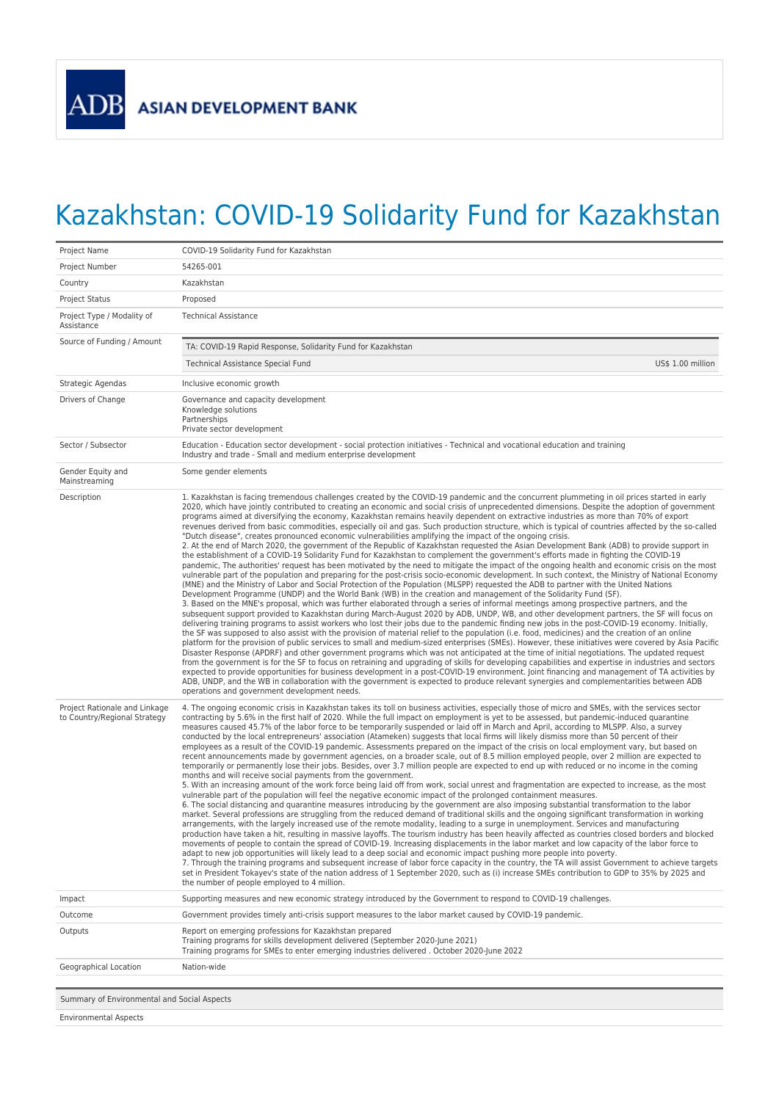## Kazakhstan: COVID-19 Solidarity Fund for Kazakhstan

| Project Name                                                  | COVID-19 Solidarity Fund for Kazakhstan                                                                                                                                                                                                                                                                                                                                                                                                                                                                                                                                                                                                                                                                                                                                                                                                                                                                                                                                                                                                                                                                                                                                                                                                                                                                                                                                                                                                                                                                                                                                                                                                                                                                                                                                                                                                                                                                                                                                                                                                                                                                                                                                                                                                                                                                                                                                                                                                                                                                                                                                                                                                                                                                                                                                                                                                                                                                                                                                 |  |
|---------------------------------------------------------------|-------------------------------------------------------------------------------------------------------------------------------------------------------------------------------------------------------------------------------------------------------------------------------------------------------------------------------------------------------------------------------------------------------------------------------------------------------------------------------------------------------------------------------------------------------------------------------------------------------------------------------------------------------------------------------------------------------------------------------------------------------------------------------------------------------------------------------------------------------------------------------------------------------------------------------------------------------------------------------------------------------------------------------------------------------------------------------------------------------------------------------------------------------------------------------------------------------------------------------------------------------------------------------------------------------------------------------------------------------------------------------------------------------------------------------------------------------------------------------------------------------------------------------------------------------------------------------------------------------------------------------------------------------------------------------------------------------------------------------------------------------------------------------------------------------------------------------------------------------------------------------------------------------------------------------------------------------------------------------------------------------------------------------------------------------------------------------------------------------------------------------------------------------------------------------------------------------------------------------------------------------------------------------------------------------------------------------------------------------------------------------------------------------------------------------------------------------------------------------------------------------------------------------------------------------------------------------------------------------------------------------------------------------------------------------------------------------------------------------------------------------------------------------------------------------------------------------------------------------------------------------------------------------------------------------------------------------------------------|--|
| Project Number                                                | 54265-001                                                                                                                                                                                                                                                                                                                                                                                                                                                                                                                                                                                                                                                                                                                                                                                                                                                                                                                                                                                                                                                                                                                                                                                                                                                                                                                                                                                                                                                                                                                                                                                                                                                                                                                                                                                                                                                                                                                                                                                                                                                                                                                                                                                                                                                                                                                                                                                                                                                                                                                                                                                                                                                                                                                                                                                                                                                                                                                                                               |  |
| Country                                                       | Kazakhstan                                                                                                                                                                                                                                                                                                                                                                                                                                                                                                                                                                                                                                                                                                                                                                                                                                                                                                                                                                                                                                                                                                                                                                                                                                                                                                                                                                                                                                                                                                                                                                                                                                                                                                                                                                                                                                                                                                                                                                                                                                                                                                                                                                                                                                                                                                                                                                                                                                                                                                                                                                                                                                                                                                                                                                                                                                                                                                                                                              |  |
| <b>Project Status</b>                                         | Proposed                                                                                                                                                                                                                                                                                                                                                                                                                                                                                                                                                                                                                                                                                                                                                                                                                                                                                                                                                                                                                                                                                                                                                                                                                                                                                                                                                                                                                                                                                                                                                                                                                                                                                                                                                                                                                                                                                                                                                                                                                                                                                                                                                                                                                                                                                                                                                                                                                                                                                                                                                                                                                                                                                                                                                                                                                                                                                                                                                                |  |
| Project Type / Modality of<br>Assistance                      | <b>Technical Assistance</b>                                                                                                                                                                                                                                                                                                                                                                                                                                                                                                                                                                                                                                                                                                                                                                                                                                                                                                                                                                                                                                                                                                                                                                                                                                                                                                                                                                                                                                                                                                                                                                                                                                                                                                                                                                                                                                                                                                                                                                                                                                                                                                                                                                                                                                                                                                                                                                                                                                                                                                                                                                                                                                                                                                                                                                                                                                                                                                                                             |  |
| Source of Funding / Amount                                    | TA: COVID-19 Rapid Response, Solidarity Fund for Kazakhstan                                                                                                                                                                                                                                                                                                                                                                                                                                                                                                                                                                                                                                                                                                                                                                                                                                                                                                                                                                                                                                                                                                                                                                                                                                                                                                                                                                                                                                                                                                                                                                                                                                                                                                                                                                                                                                                                                                                                                                                                                                                                                                                                                                                                                                                                                                                                                                                                                                                                                                                                                                                                                                                                                                                                                                                                                                                                                                             |  |
|                                                               | Technical Assistance Special Fund<br>US\$ 1.00 million                                                                                                                                                                                                                                                                                                                                                                                                                                                                                                                                                                                                                                                                                                                                                                                                                                                                                                                                                                                                                                                                                                                                                                                                                                                                                                                                                                                                                                                                                                                                                                                                                                                                                                                                                                                                                                                                                                                                                                                                                                                                                                                                                                                                                                                                                                                                                                                                                                                                                                                                                                                                                                                                                                                                                                                                                                                                                                                  |  |
| Strategic Agendas                                             | Inclusive economic growth                                                                                                                                                                                                                                                                                                                                                                                                                                                                                                                                                                                                                                                                                                                                                                                                                                                                                                                                                                                                                                                                                                                                                                                                                                                                                                                                                                                                                                                                                                                                                                                                                                                                                                                                                                                                                                                                                                                                                                                                                                                                                                                                                                                                                                                                                                                                                                                                                                                                                                                                                                                                                                                                                                                                                                                                                                                                                                                                               |  |
| Drivers of Change                                             | Governance and capacity development<br>Knowledge solutions<br>Partnerships<br>Private sector development                                                                                                                                                                                                                                                                                                                                                                                                                                                                                                                                                                                                                                                                                                                                                                                                                                                                                                                                                                                                                                                                                                                                                                                                                                                                                                                                                                                                                                                                                                                                                                                                                                                                                                                                                                                                                                                                                                                                                                                                                                                                                                                                                                                                                                                                                                                                                                                                                                                                                                                                                                                                                                                                                                                                                                                                                                                                |  |
| Sector / Subsector                                            | Education - Education sector development - social protection initiatives - Technical and vocational education and training<br>Industry and trade - Small and medium enterprise development                                                                                                                                                                                                                                                                                                                                                                                                                                                                                                                                                                                                                                                                                                                                                                                                                                                                                                                                                                                                                                                                                                                                                                                                                                                                                                                                                                                                                                                                                                                                                                                                                                                                                                                                                                                                                                                                                                                                                                                                                                                                                                                                                                                                                                                                                                                                                                                                                                                                                                                                                                                                                                                                                                                                                                              |  |
| Gender Equity and<br>Mainstreaming                            | Some gender elements                                                                                                                                                                                                                                                                                                                                                                                                                                                                                                                                                                                                                                                                                                                                                                                                                                                                                                                                                                                                                                                                                                                                                                                                                                                                                                                                                                                                                                                                                                                                                                                                                                                                                                                                                                                                                                                                                                                                                                                                                                                                                                                                                                                                                                                                                                                                                                                                                                                                                                                                                                                                                                                                                                                                                                                                                                                                                                                                                    |  |
| Description                                                   | 1. Kazakhstan is facing tremendous challenges created by the COVID-19 pandemic and the concurrent plummeting in oil prices started in early<br>2020, which have jointly contributed to creating an economic and social crisis of unprecedented dimensions. Despite the adoption of government<br>programs aimed at diversifying the economy, Kazakhstan remains heavily dependent on extractive industries as more than 70% of export<br>revenues derived from basic commodities, especially oil and gas. Such production structure, which is typical of countries affected by the so-called<br>"Dutch disease", creates pronounced economic vulnerabilities amplifying the impact of the ongoing crisis.<br>2. At the end of March 2020, the government of the Republic of Kazakhstan requested the Asian Development Bank (ADB) to provide support in<br>the establishment of a COVID-19 Solidarity Fund for Kazakhstan to complement the government's efforts made in fighting the COVID-19<br>pandemic, The authorities' request has been motivated by the need to mitigate the impact of the ongoing health and economic crisis on the most<br>vulnerable part of the population and preparing for the post-crisis socio-economic development. In such context, the Ministry of National Economy<br>(MNE) and the Ministry of Labor and Social Protection of the Population (MLSPP) requested the ADB to partner with the United Nations<br>Development Programme (UNDP) and the World Bank (WB) in the creation and management of the Solidarity Fund (SF).<br>3. Based on the MNE's proposal, which was further elaborated through a series of informal meetings among prospective partners, and the<br>subsequent support provided to Kazakhstan during March-August 2020 by ADB, UNDP, WB, and other development partners, the SF will focus on<br>delivering training programs to assist workers who lost their jobs due to the pandemic finding new jobs in the post-COVID-19 economy. Initially,<br>the SF was supposed to also assist with the provision of material relief to the population (i.e. food, medicines) and the creation of an online<br>platform for the provision of public services to small and medium-sized enterprises (SMEs). However, these initiatives were covered by Asia Pacific<br>Disaster Response (APDRF) and other government programs which was not anticipated at the time of initial negotiations. The updated request<br>from the government is for the SF to focus on retraining and upgrading of skills for developing capabilities and expertise in industries and sectors<br>expected to provide opportunities for business development in a post-COVID-19 environment. Joint financing and management of TA activities by<br>ADB, UNDP, and the WB in collaboration with the government is expected to produce relevant synergies and complementarities between ADB<br>operations and government development needs. |  |
| Project Rationale and Linkage<br>to Country/Regional Strategy | 4. The ongoing economic crisis in Kazakhstan takes its toll on business activities, especially those of micro and SMEs, with the services sector<br>contracting by 5.6% in the first half of 2020. While the full impact on employment is yet to be assessed, but pandemic-induced quarantine<br>measures caused 45.7% of the labor force to be temporarily suspended or laid off in March and April, according to MLSPP. Also, a survey<br>conducted by the local entrepreneurs' association (Atameken) suggests that local firms will likely dismiss more than 50 percent of their<br>employees as a result of the COVID-19 pandemic. Assessments prepared on the impact of the crisis on local employment vary, but based on<br>recent announcements made by government agencies, on a broader scale, out of 8.5 million employed people, over 2 million are expected to<br>temporarily or permanently lose their jobs. Besides, over 3.7 million people are expected to end up with reduced or no income in the coming<br>months and will receive social payments from the government.<br>5. With an increasing amount of the work force being laid off from work, social unrest and fragmentation are expected to increase, as the most<br>vulnerable part of the population will feel the negative economic impact of the prolonged containment measures.<br>6. The social distancing and quarantine measures introducing by the government are also imposing substantial transformation to the labor<br>market. Several professions are struggling from the reduced demand of traditional skills and the ongoing significant transformation in working<br>arrangements, with the largely increased use of the remote modality, leading to a surge in unemployment. Services and manufacturing<br>production have taken a hit, resulting in massive layoffs. The tourism industry has been heavily affected as countries closed borders and blocked<br>movements of people to contain the spread of COVID-19. Increasing displacements in the labor market and low capacity of the labor force to<br>adapt to new job opportunities will likely lead to a deep social and economic impact pushing more people into poverty.<br>7. Through the training programs and subsequent increase of labor force capacity in the country, the TA will assist Government to achieve targets<br>set in President Tokayev's state of the nation address of 1 September 2020, such as (i) increase SMEs contribution to GDP to 35% by 2025 and<br>the number of people employed to 4 million.                                                                                                                                                                                                                                                                                                                                                                                   |  |
| Impact                                                        | Supporting measures and new economic strategy introduced by the Government to respond to COVID-19 challenges.                                                                                                                                                                                                                                                                                                                                                                                                                                                                                                                                                                                                                                                                                                                                                                                                                                                                                                                                                                                                                                                                                                                                                                                                                                                                                                                                                                                                                                                                                                                                                                                                                                                                                                                                                                                                                                                                                                                                                                                                                                                                                                                                                                                                                                                                                                                                                                                                                                                                                                                                                                                                                                                                                                                                                                                                                                                           |  |
| Outcome                                                       | Government provides timely anti-crisis support measures to the labor market caused by COVID-19 pandemic.                                                                                                                                                                                                                                                                                                                                                                                                                                                                                                                                                                                                                                                                                                                                                                                                                                                                                                                                                                                                                                                                                                                                                                                                                                                                                                                                                                                                                                                                                                                                                                                                                                                                                                                                                                                                                                                                                                                                                                                                                                                                                                                                                                                                                                                                                                                                                                                                                                                                                                                                                                                                                                                                                                                                                                                                                                                                |  |
| Outputs                                                       | Report on emerging professions for Kazakhstan prepared<br>Training programs for skills development delivered (September 2020-June 2021)<br>Training programs for SMEs to enter emerging industries delivered . October 2020-June 2022                                                                                                                                                                                                                                                                                                                                                                                                                                                                                                                                                                                                                                                                                                                                                                                                                                                                                                                                                                                                                                                                                                                                                                                                                                                                                                                                                                                                                                                                                                                                                                                                                                                                                                                                                                                                                                                                                                                                                                                                                                                                                                                                                                                                                                                                                                                                                                                                                                                                                                                                                                                                                                                                                                                                   |  |
| Geographical Location                                         | Nation-wide                                                                                                                                                                                                                                                                                                                                                                                                                                                                                                                                                                                                                                                                                                                                                                                                                                                                                                                                                                                                                                                                                                                                                                                                                                                                                                                                                                                                                                                                                                                                                                                                                                                                                                                                                                                                                                                                                                                                                                                                                                                                                                                                                                                                                                                                                                                                                                                                                                                                                                                                                                                                                                                                                                                                                                                                                                                                                                                                                             |  |
|                                                               |                                                                                                                                                                                                                                                                                                                                                                                                                                                                                                                                                                                                                                                                                                                                                                                                                                                                                                                                                                                                                                                                                                                                                                                                                                                                                                                                                                                                                                                                                                                                                                                                                                                                                                                                                                                                                                                                                                                                                                                                                                                                                                                                                                                                                                                                                                                                                                                                                                                                                                                                                                                                                                                                                                                                                                                                                                                                                                                                                                         |  |
| Summary of Environmental and Social Aspects                   |                                                                                                                                                                                                                                                                                                                                                                                                                                                                                                                                                                                                                                                                                                                                                                                                                                                                                                                                                                                                                                                                                                                                                                                                                                                                                                                                                                                                                                                                                                                                                                                                                                                                                                                                                                                                                                                                                                                                                                                                                                                                                                                                                                                                                                                                                                                                                                                                                                                                                                                                                                                                                                                                                                                                                                                                                                                                                                                                                                         |  |
| <b>Environmental Aspects</b>                                  |                                                                                                                                                                                                                                                                                                                                                                                                                                                                                                                                                                                                                                                                                                                                                                                                                                                                                                                                                                                                                                                                                                                                                                                                                                                                                                                                                                                                                                                                                                                                                                                                                                                                                                                                                                                                                                                                                                                                                                                                                                                                                                                                                                                                                                                                                                                                                                                                                                                                                                                                                                                                                                                                                                                                                                                                                                                                                                                                                                         |  |